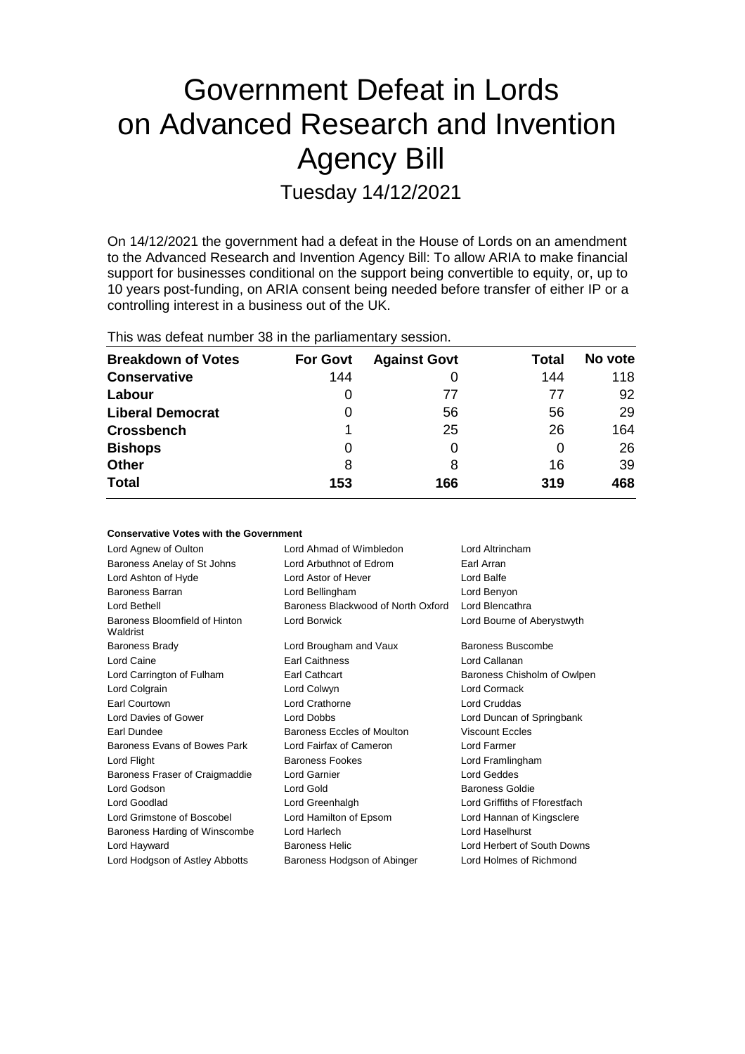# Government Defeat in Lords on Advanced Research and Invention Agency Bill

Tuesday 14/12/2021

On 14/12/2021 the government had a defeat in the House of Lords on an amendment to the Advanced Research and Invention Agency Bill: To allow ARIA to make financial support for businesses conditional on the support being convertible to equity, or, up to 10 years post-funding, on ARIA consent being needed before transfer of either IP or a controlling interest in a business out of the UK.

|  | This was defeat number 38 in the parliamentary session. |  |  |  |
|--|---------------------------------------------------------|--|--|--|
|--|---------------------------------------------------------|--|--|--|

| <b>Breakdown of Votes</b> | <b>For Govt</b> | <b>Against Govt</b> | Total | No vote |
|---------------------------|-----------------|---------------------|-------|---------|
| <b>Conservative</b>       | 144             |                     | 144   | 118     |
| Labour                    | O               | 77                  | 77    | 92      |
| <b>Liberal Democrat</b>   | 0               | 56                  | 56    | 29      |
| <b>Crossbench</b>         |                 | 25                  | 26    | 164     |
| <b>Bishops</b>            | 0               |                     | 0     | 26      |
| <b>Other</b>              | 8               | 8                   | 16    | 39      |
| <b>Total</b>              | 153             | 166                 | 319   | 468     |

| <b>Conservative Votes with the Government</b> |                                    |                               |
|-----------------------------------------------|------------------------------------|-------------------------------|
| Lord Agnew of Oulton                          | Lord Ahmad of Wimbledon            | Lord Altrincham               |
| Baroness Anelay of St Johns                   | Lord Arbuthnot of Edrom            | Earl Arran                    |
| Lord Ashton of Hyde                           | Lord Astor of Hever                | Lord Balfe                    |
| <b>Baroness Barran</b>                        | Lord Bellingham                    | Lord Benyon                   |
| Lord Bethell                                  | Baroness Blackwood of North Oxford | Lord Blencathra               |
| Baroness Bloomfield of Hinton<br>Waldrist     | Lord Borwick                       | Lord Bourne of Aberystwyth    |
| <b>Baroness Brady</b>                         | Lord Brougham and Vaux             | Baroness Buscombe             |
| Lord Caine                                    | <b>Earl Caithness</b>              | Lord Callanan                 |
| Lord Carrington of Fulham                     | Earl Cathcart                      | Baroness Chisholm of Owlpen   |
| Lord Colgrain                                 | Lord Colwyn                        | Lord Cormack                  |
| Earl Courtown                                 | Lord Crathorne                     | <b>Lord Cruddas</b>           |
| Lord Davies of Gower                          | <b>Lord Dobbs</b>                  | Lord Duncan of Springbank     |
| Earl Dundee                                   | Baroness Eccles of Moulton         | <b>Viscount Eccles</b>        |
| Baroness Evans of Bowes Park                  | Lord Fairfax of Cameron            | Lord Farmer                   |
| Lord Flight                                   | <b>Baroness Fookes</b>             | Lord Framlingham              |
| Baroness Fraser of Craigmaddie                | Lord Garnier                       | Lord Geddes                   |
| Lord Godson                                   | Lord Gold                          | <b>Baroness Goldie</b>        |
| Lord Goodlad                                  | Lord Greenhalgh                    | Lord Griffiths of Fforestfach |
| Lord Grimstone of Boscobel                    | Lord Hamilton of Epsom             | Lord Hannan of Kingsclere     |
| Baroness Harding of Winscombe                 | Lord Harlech                       | Lord Haselhurst               |
| Lord Hayward                                  | Baroness Helic                     | Lord Herbert of South Downs   |
| Lord Hodgson of Astley Abbotts                | Baroness Hodgson of Abinger        | Lord Holmes of Richmond       |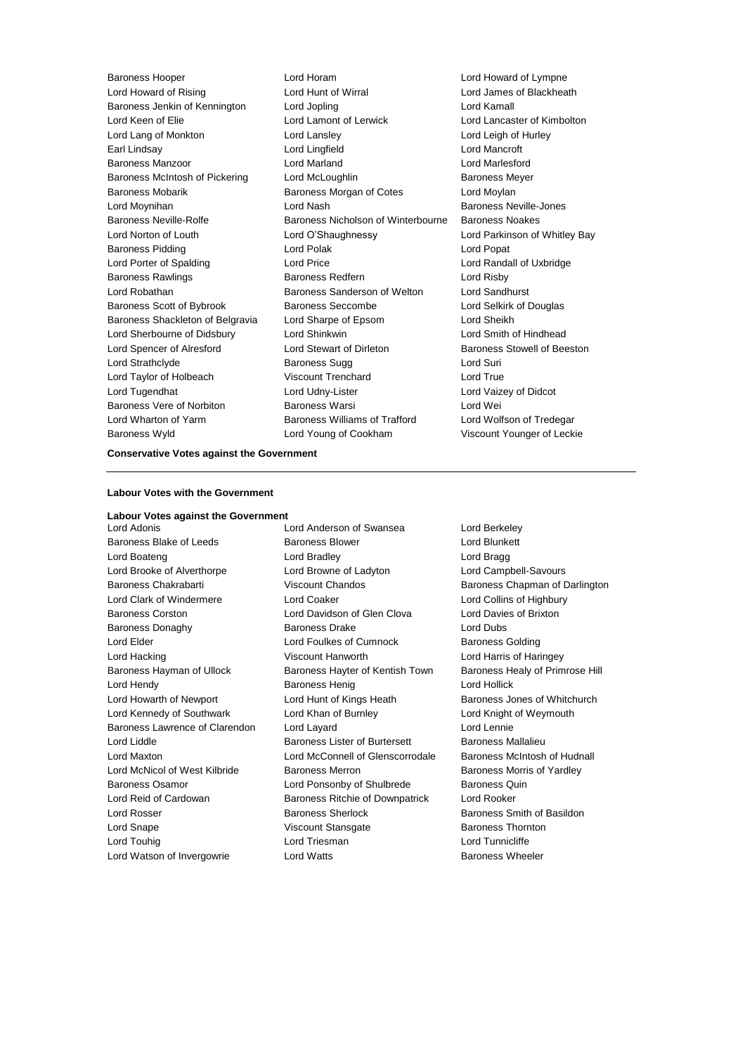Baroness Hooper Lord Horam Lord Howard of Lympne Lord Howard of Rising Lord Hunt of Wirral Lord James of Blackheath Baroness Jenkin of Kennington Lord Jopling Lord Kamall Lord Keen of Elie Lord Lamont of Lerwick Lord Lancaster of Kimbolton Lord Lang of Monkton **Lord Lansley** Lord Lansley **Lord Leigh of Hurley** Earl Lindsay **Lord Lingfield** Lord Dingfield **Lord Mancroft** Baroness Manzoor Lord Marland Lord Marlesford Baroness McIntosh of Pickering Lord McLoughlin Baroness Meyer Baroness Mobarik Baroness Morgan of Cotes Lord Moylan Lord Moynihan **Lord Nash** Baroness Neville-Jones Baroness Neville-Rolfe **Baroness Nicholson of Winterbourne** Baroness Noakes Lord Norton of Louth Lord O'Shaughnessy Lord Parkinson of Whitley Bay Baroness Pidding Lord Polak Lord Popat Lord Porter of Spalding Lord Price Lord Randall of Uxbridge Baroness Rawlings **Baroness Redfern Baroness Redfern Lord Risby** Lord Robathan Baroness Sanderson of Welton Lord Sandhurst Baroness Scott of Bybrook Baroness Seccombe Lord Selkirk of Douglas Baroness Shackleton of Belgravia Lord Sharpe of Epsom Lord Sheikh Lord Sherbourne of Didsbury Lord Shinkwin Lord Smith of Hindhead Lord Spencer of Alresford Lord Stewart of Dirleton Baroness Stowell of Beeston Lord Strathclyde Baroness Sugg Lord Suri Lord Taylor of Holbeach Viscount Trenchard Lord True Lord Tugendhat Lord Udny-Lister Lord Vaizey of Didcot Baroness Vere of Norbiton Baroness Warsi Lord Wei Lord Wharton of Yarm Baroness Williams of Trafford Lord Wolfson of Tredegar Baroness Wyld Lord Young of Cookham Viscount Younger of Leckie

#### **Conservative Votes against the Government**

#### **Labour Votes with the Government**

#### **Labour Votes against the Government**

Lord Adonis Lord Anderson of Swansea Lord Berkeley Baroness Blake of Leeds Baroness Blower Baroness Blower Lord Blunkett Lord Boateng **Lord Bradley** Cord Bradley **Lord Bragg** Lord Brooke of Alverthorpe Lord Browne of Ladyton Lord Campbell-Savours Baroness Chakrabarti Viscount Chandos Baroness Chapman of Darlington Lord Clark of Windermere Lord Coaker Lord Collins of Highbury Baroness Corston Lord Davidson of Glen Clova Lord Davies of Brixton Baroness Donaghy Baroness Drake Lord Dubs Lord Elder **Lord Foulkes of Cumnock** Baroness Golding Lord Hacking Viscount Hanworth Lord Harris of Haringey Baroness Hayman of Ullock Baroness Hayter of Kentish Town Baroness Healy of Primrose Hill Lord Hendy **Baroness Henig** Lord Hollick **Lord Hollick** Lord Howarth of Newport **Lord Hunt of Kings Heath** Baroness Jones of Whitchurch Lord Kennedy of Southwark Lord Khan of Burnley Lord Knight of Weymouth Baroness Lawrence of Clarendon Lord Layard Lord Lennie Lord Liddle Baroness Lister of Burtersett Baroness Mallalieu Lord Maxton Lord McConnell of Glenscorrodale Baroness McIntosh of Hudnall Lord McNicol of West Kilbride Baroness Merron Baroness Morris of Yardley Baroness Osamor Lord Ponsonby of Shulbrede Baroness Quin Lord Reid of Cardowan Baroness Ritchie of Downpatrick Lord Rooker Lord Rosser Baroness Sherlock Baroness Smith of Basildon Lord Snape Viscount Stansgate Baroness Thornton Lord Touhig **Lord Triesman** Lord Triesman **Lord Tunnicliffe** Lord Watson of Invergowrie **Lord Watts Baroness Wheeler**